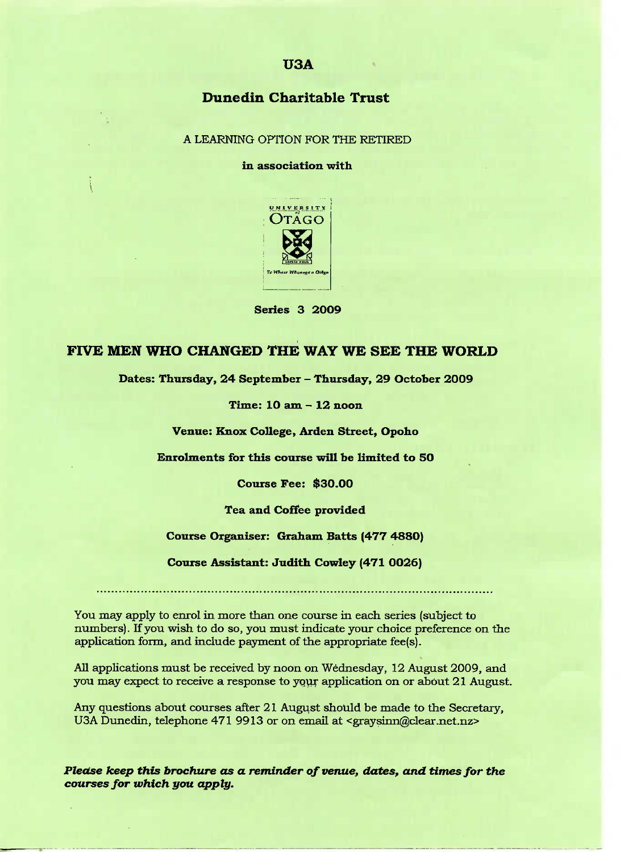# **Dunedin Charitable Trust**

A LEARNING OPTION FOR THE RETIRED

### **in association with**



**Series 3 2009**

# **FIVE MEN WHO CHANGED THE WAY WE SEE THE WORLD**

**Dates: Thursday, 24 September -** Thursday, 29 October 2O09

**Time: 10 am** *-* **12 noon**

**Venue: Knox College,** Arden **Street, Opoho**

**Enrolments for this course will be limited to 50**

**Course Fee; \$30.00**

**Tea and Coffee provided**

**Course Organiser: Graham Batts (477** 4880)

**Course Assistant: Judith** Cowley **(471 OO26)**

You may apply to enrol in more than one course in each series (subject to numbers). If you wish to do so, you must indicate your choice preference on the application form, and include payment of the appropriate fee(s).

All applications must be received by noon on Wednesday, 12 August 2009, and you may expect to receive a response to your application on or about 21 August.

Any questions about courses after 21 August should be made to the Secretary, USA Dunedin, telephone 471 9913 or on email at <graysinn@clear.net.nz>

*Please keep this brochure as a reminder of venue, dates, and times for the courses for which you apply.*

## **USA**